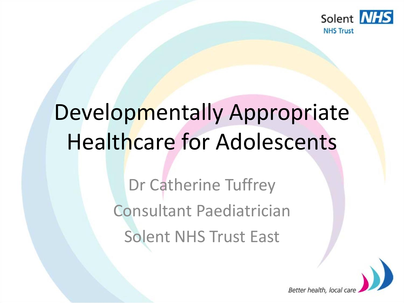

# Developmentally Appropriate Healthcare for Adolescents

Dr Catherine Tuffrey Consultant Paediatrician Solent NHS Trust East

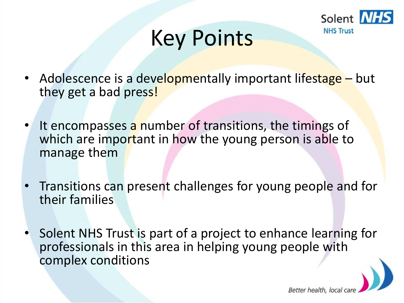

Better health, loc

## Key Points

- Adolescence is a developmentally important lifestage but they get a bad press!
- It encompasses a number of transitions, the timings of which are important in how the young person is able to manage them
- Transitions can present challenges for young people and for their families
- Solent NHS Trust is part of a project to enhance learning for professionals in this area in helping young people with complex conditions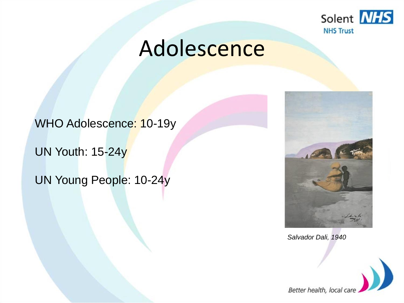

## Adolescence

WHO Adolescence: 10-19y

UN Youth: 15-24y

UN Young People: 10-24y



*Salvador Dali, 1940*

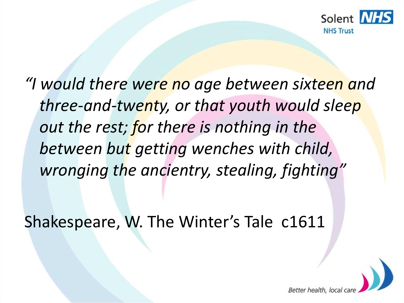

*"I would there were no age between sixteen and three-and-twenty, or that youth would sleep out the rest; for there is nothing in the between but getting wenches with child, wronging the ancientry, stealing, fighting"*

Shakespeare, W. The Winter's Tale c1611

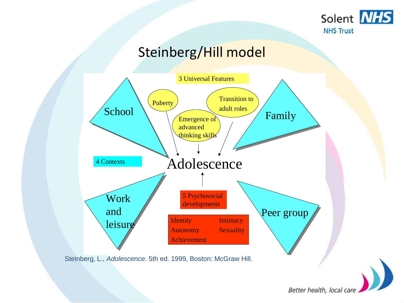

#### Steinberg/Hill model



Steinberg, L., *Adolescence*. 5th ed. 1999, Boston: McGraw Hill.

Better health, local care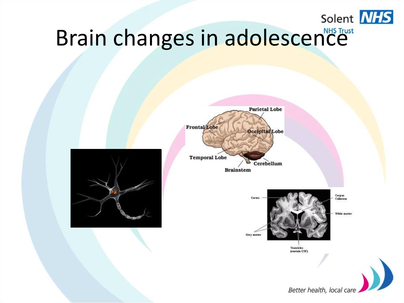

# Brain changes in adolescence

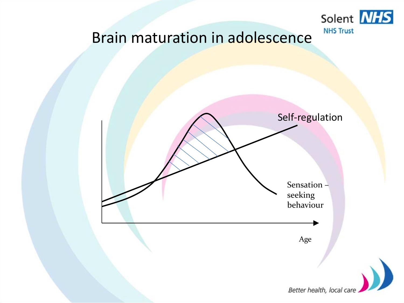

#### Brain maturation in adolescence

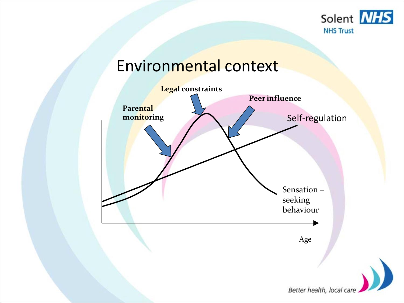

#### Environmental context

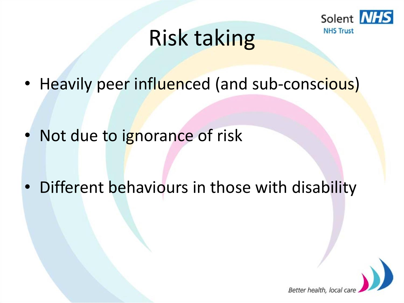

## Risk taking

• Heavily peer influenced (and sub-conscious)

• Not due to ignorance of risk

• Different behaviours in those with disability

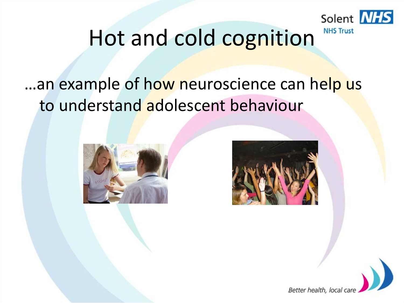

### Hot and cold cognition

### ...an example of how neuroscience can help us to understand adolescent behaviour





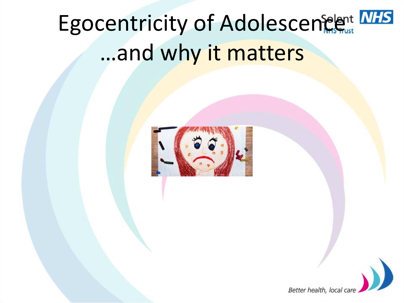# Egocentricity of Adolescencent NHS …and why it matters



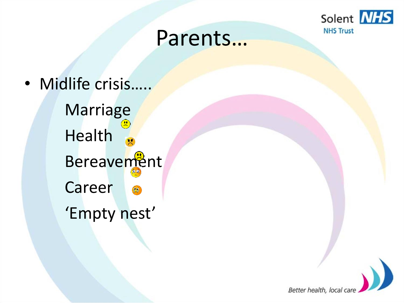

### Parents…

• Midlife crisis.

**Marriage** Health Bereavement Career  $\Omega$ 'Empty nest'

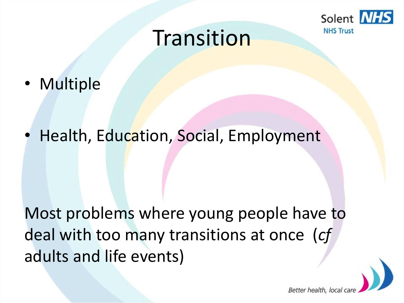

Better health, loc

### **Transition**

• Multiple

• Health, Education, Social, Employment

Most problems where young people have to deal with too many transitions at once (*cf* adults and life events)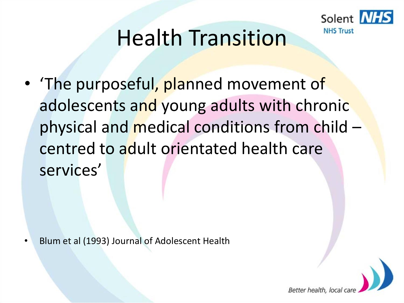

## Health Transition

• The purposeful, planned movement of adolescents and young adults with chronic physical and medical conditions from child – centred to adult orientated health care services'

• Blum et al (1993) Journal of Adolescent Health

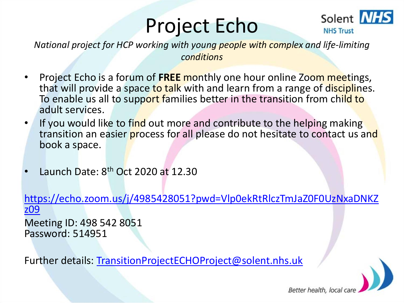## Project Echo



*National project for HCP working with young people with complex and life-limiting conditions*

- Project Echo is a forum of **FREE** monthly one hour online Zoom meetings, that will provide a space to talk with and learn from a range of disciplines. To enable us all to support families better in the transition from child to adult services.
- If you would like to find out more and contribute to the helping making transition an easier process for all please do not hesitate to contact us and book a space.
- Launch Date:  $8<sup>th</sup>$  Oct 2020 at 12.30

[https://echo.zoom.us/j/4985428051?pwd=Vlp0ekRtRlczTmJaZ0F0UzNxaDNKZ](https://echo.zoom.us/j/4985428051?pwd=Vlp0ekRtRlczTmJaZ0F0UzNxaDNKZz09) z09

Meeting ID: 498 542 8051 Password: 514951

Further details: [TransitionProjectECHOProject@solent.nhs.uk](mailto:TransitionProjectECHOProject@solent.nhs.uk)

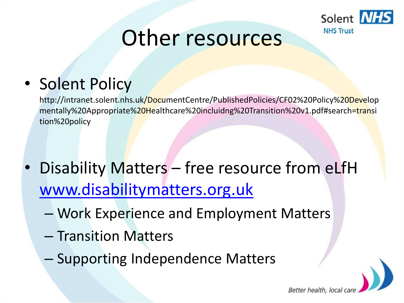

Better health, local

### Other resources

### • Solent Policy

http://intranet.solent.nhs.uk/DocumentCentre/PublishedPolicies/CF02%20Policy%20Develop mentally%20Appropriate%20Healthcare%20incluidng%20Transition%20v1.pdf#search=transi tion%20policy

- Disability Matters free resource from eLfH [www.disabilitymatters.org.uk](http://www.disabilitymatters.org.uk/)
	- Work Experience and Employment Matters
	- Transition Matters
	- Supporting Independence Matters